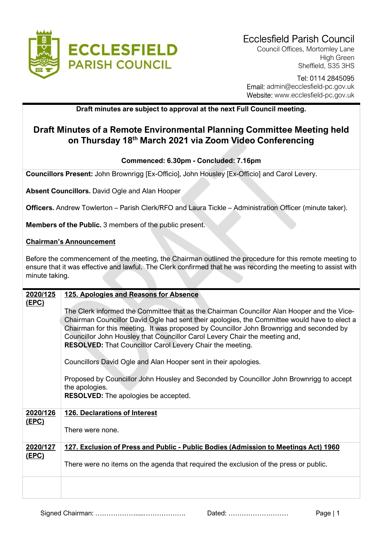

Council Offices, Mortomley Lane High Green Sheffield, S35 3HS

### Tel: 0114 2845095 Email: admin@ecclesfield-pc.gov.uk Website: www.ecclesfield-pc.gov.uk

## Draft minutes are subject to approval at the next Full Council meeting.

# Draft Minutes of a Remote Environmental Planning Committee Meeting held on Thursday 18th March 2021 via Zoom Video Conferencing

### Commenced: 6.30pm - Concluded: 7.16pm

Councillors Present: John Brownrigg [Ex-Officio], John Housley [Ex-Officio] and Carol Levery.

Absent Councillors. David Ogle and Alan Hooper

Officers. Andrew Towlerton – Parish Clerk/RFO and Laura Tickle – Administration Officer (minute taker).

Members of the Public. 3 members of the public present.

### Chairman's Announcement

Before the commencement of the meeting, the Chairman outlined the procedure for this remote meeting to ensure that it was effective and lawful. The Clerk confirmed that he was recording the meeting to assist with minute taking.

| 2020/125<br><u>(EPC)</u> | 125. Apologies and Reasons for Absence                                                                                                                                                                                                                                                                                                                                                                                                   |
|--------------------------|------------------------------------------------------------------------------------------------------------------------------------------------------------------------------------------------------------------------------------------------------------------------------------------------------------------------------------------------------------------------------------------------------------------------------------------|
|                          | The Clerk informed the Committee that as the Chairman Councillor Alan Hooper and the Vice-<br>Chairman Councillor David Ogle had sent their apologies, the Committee would have to elect a<br>Chairman for this meeting. It was proposed by Councillor John Brownrigg and seconded by<br>Councillor John Housley that Councillor Carol Levery Chair the meeting and,<br><b>RESOLVED:</b> That Councillor Carol Levery Chair the meeting. |
|                          | Councillors David Ogle and Alan Hooper sent in their apologies.                                                                                                                                                                                                                                                                                                                                                                          |
|                          | Proposed by Councillor John Housley and Seconded by Councillor John Brownrigg to accept<br>the apologies.                                                                                                                                                                                                                                                                                                                                |
|                          | <b>RESOLVED:</b> The apologies be accepted.                                                                                                                                                                                                                                                                                                                                                                                              |
| 2020/126<br><u>(EPC)</u> | <b>126. Declarations of Interest</b>                                                                                                                                                                                                                                                                                                                                                                                                     |
|                          | There were none.                                                                                                                                                                                                                                                                                                                                                                                                                         |
| 2020/127<br>(EPC)        | 127. Exclusion of Press and Public - Public Bodies (Admission to Meetings Act) 1960                                                                                                                                                                                                                                                                                                                                                      |
|                          | There were no items on the agenda that required the exclusion of the press or public.                                                                                                                                                                                                                                                                                                                                                    |
|                          |                                                                                                                                                                                                                                                                                                                                                                                                                                          |

Signed Chairman: ……………….....………………. Dated: ……………………… Page | 1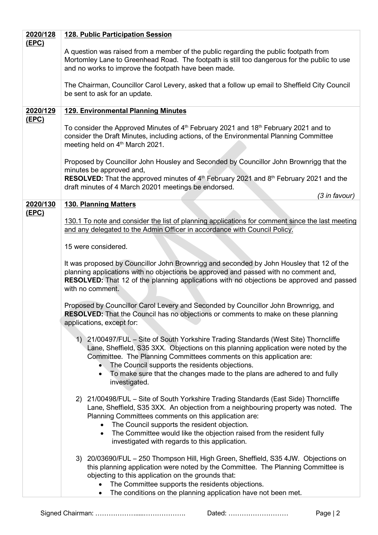| 2020/128     | <b>128. Public Participation Session</b>                                                                                                                                                                                                                                                                                                                                                                                                |
|--------------|-----------------------------------------------------------------------------------------------------------------------------------------------------------------------------------------------------------------------------------------------------------------------------------------------------------------------------------------------------------------------------------------------------------------------------------------|
| <u>(EPC)</u> | A question was raised from a member of the public regarding the public footpath from<br>Mortomley Lane to Greenhead Road. The footpath is still too dangerous for the public to use<br>and no works to improve the footpath have been made.                                                                                                                                                                                             |
|              | The Chairman, Councillor Carol Levery, asked that a follow up email to Sheffield City Council<br>be sent to ask for an update.                                                                                                                                                                                                                                                                                                          |
| 2020/129     | <b>129. Environmental Planning Minutes</b>                                                                                                                                                                                                                                                                                                                                                                                              |
| (EPC)        | To consider the Approved Minutes of 4 <sup>th</sup> February 2021 and 18 <sup>th</sup> February 2021 and to<br>consider the Draft Minutes, including actions, of the Environmental Planning Committee<br>meeting held on 4 <sup>th</sup> March 2021.                                                                                                                                                                                    |
|              | Proposed by Councillor John Housley and Seconded by Councillor John Brownrigg that the<br>minutes be approved and,                                                                                                                                                                                                                                                                                                                      |
|              | RESOLVED: That the approved minutes of 4th February 2021 and 8th February 2021 and the<br>draft minutes of 4 March 20201 meetings be endorsed.                                                                                                                                                                                                                                                                                          |
| 2020/130     | (3 in favour)<br><b>130. Planning Matters</b>                                                                                                                                                                                                                                                                                                                                                                                           |
| (EPC)        | 130.1 To note and consider the list of planning applications for comment since the last meeting<br>and any delegated to the Admin Officer in accordance with Council Policy.                                                                                                                                                                                                                                                            |
|              | 15 were considered.                                                                                                                                                                                                                                                                                                                                                                                                                     |
|              | It was proposed by Councillor John Brownrigg and seconded by John Housley that 12 of the<br>planning applications with no objections be approved and passed with no comment and,<br><b>RESOLVED:</b> That 12 of the planning applications with no objections be approved and passed<br>with no comment.                                                                                                                                 |
|              | Proposed by Councillor Carol Levery and Seconded by Councillor John Brownrigg, and<br><b>RESOLVED:</b> That the Council has no objections or comments to make on these planning<br>applications, except for:                                                                                                                                                                                                                            |
|              | 21/00497/FUL - Site of South Yorkshire Trading Standards (West Site) Thorncliffe<br>1)<br>Lane, Sheffield, S35 3XX. Objections on this planning application were noted by the<br>Committee. The Planning Committees comments on this application are:<br>The Council supports the residents objections.<br>To make sure that the changes made to the plans are adhered to and fully<br>$\bullet$<br>investigated.                       |
|              | 2) 21/00498/FUL - Site of South Yorkshire Trading Standards (East Side) Thorncliffe<br>Lane, Sheffield, S35 3XX. An objection from a neighbouring property was noted. The<br>Planning Committees comments on this application are:<br>The Council supports the resident objection.<br>$\bullet$<br>The Committee would like the objection raised from the resident fully<br>$\bullet$<br>investigated with regards to this application. |
|              | 3) 20/03690/FUL – 250 Thompson Hill, High Green, Sheffield, S35 4JW. Objections on<br>this planning application were noted by the Committee. The Planning Committee is<br>objecting to this application on the grounds that:<br>The Committee supports the residents objections.<br>The conditions on the planning application have not been met.<br>٠                                                                                  |